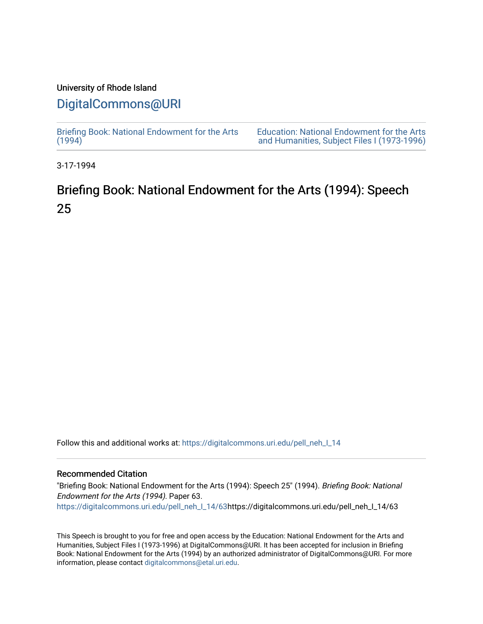### University of Rhode Island

## [DigitalCommons@URI](https://digitalcommons.uri.edu/)

[Briefing Book: National Endowment for the Arts](https://digitalcommons.uri.edu/pell_neh_I_14)  $(1994)$ [Education: National Endowment for the Arts](https://digitalcommons.uri.edu/pell_neh_I)  [and Humanities, Subject Files I \(1973-1996\)](https://digitalcommons.uri.edu/pell_neh_I) 

3-17-1994

# Briefing Book: National Endowment for the Arts (1994): Speech 25

Follow this and additional works at: [https://digitalcommons.uri.edu/pell\\_neh\\_I\\_14](https://digitalcommons.uri.edu/pell_neh_I_14?utm_source=digitalcommons.uri.edu%2Fpell_neh_I_14%2F63&utm_medium=PDF&utm_campaign=PDFCoverPages) 

### Recommended Citation

"Briefing Book: National Endowment for the Arts (1994): Speech 25" (1994). Briefing Book: National Endowment for the Arts (1994). Paper 63. [https://digitalcommons.uri.edu/pell\\_neh\\_I\\_14/63h](https://digitalcommons.uri.edu/pell_neh_I_14/63?utm_source=digitalcommons.uri.edu%2Fpell_neh_I_14%2F63&utm_medium=PDF&utm_campaign=PDFCoverPages)ttps://digitalcommons.uri.edu/pell\_neh\_I\_14/63

This Speech is brought to you for free and open access by the Education: National Endowment for the Arts and Humanities, Subject Files I (1973-1996) at DigitalCommons@URI. It has been accepted for inclusion in Briefing Book: National Endowment for the Arts (1994) by an authorized administrator of DigitalCommons@URI. For more information, please contact [digitalcommons@etal.uri.edu.](mailto:digitalcommons@etal.uri.edu)